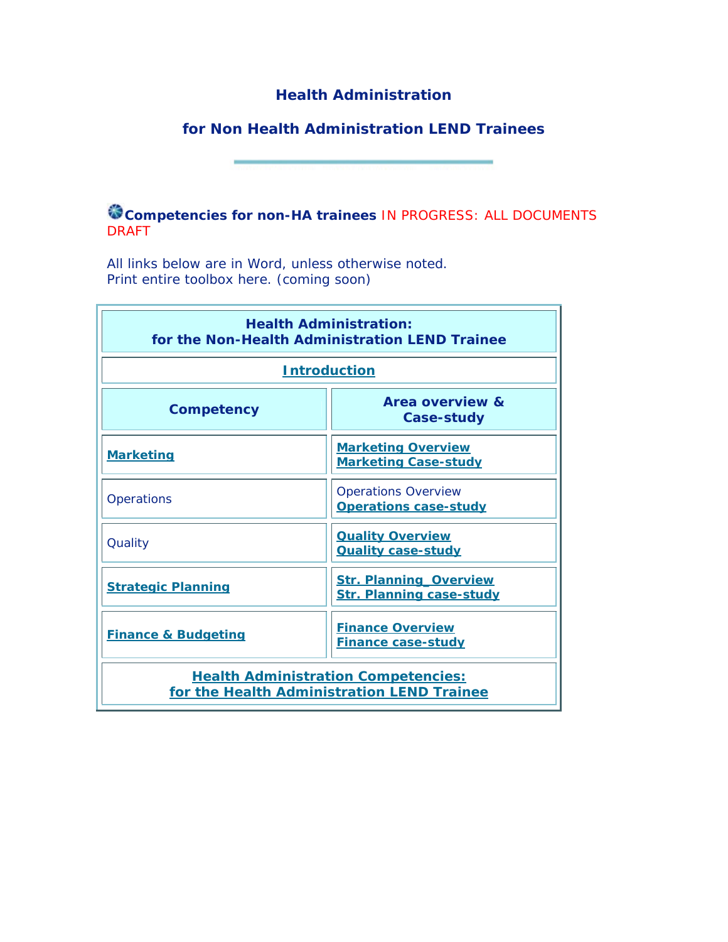# **Health Administration**

# **for Non Health Administration LEND Trainees**

**Competencies for non-HA trainees** *IN PROGRESS: ALL DOCUMENTS DRAFT* 

All links below are in Word, unless otherwise noted. Print entire toolbox here. (coming soon)

| <b>Health Administration:</b><br>for the Non-Health Administration LEND Trainee          |                                                                  |  |  |
|------------------------------------------------------------------------------------------|------------------------------------------------------------------|--|--|
| <b>Introduction</b>                                                                      |                                                                  |  |  |
| Competency                                                                               | Area overview &<br>Case-study                                    |  |  |
| <b>Marketing</b>                                                                         | <b>Marketing Overview</b><br><b>Marketing Case-study</b>         |  |  |
| Operations                                                                               | <b>Operations Overview</b><br><b>Operations case-study</b>       |  |  |
| Quality                                                                                  | <b>Quality Overview</b><br><b>Quality case-study</b>             |  |  |
| <b>Strategic Planning</b>                                                                | <b>Str. Planning Overview</b><br><b>Str. Planning case-study</b> |  |  |
| <b>Finance &amp; Budgeting</b>                                                           | <b>Finance Overview</b><br><b>Finance case-study</b>             |  |  |
| <b>Health Administration Competencies:</b><br>for the Health Administration LEND Trainee |                                                                  |  |  |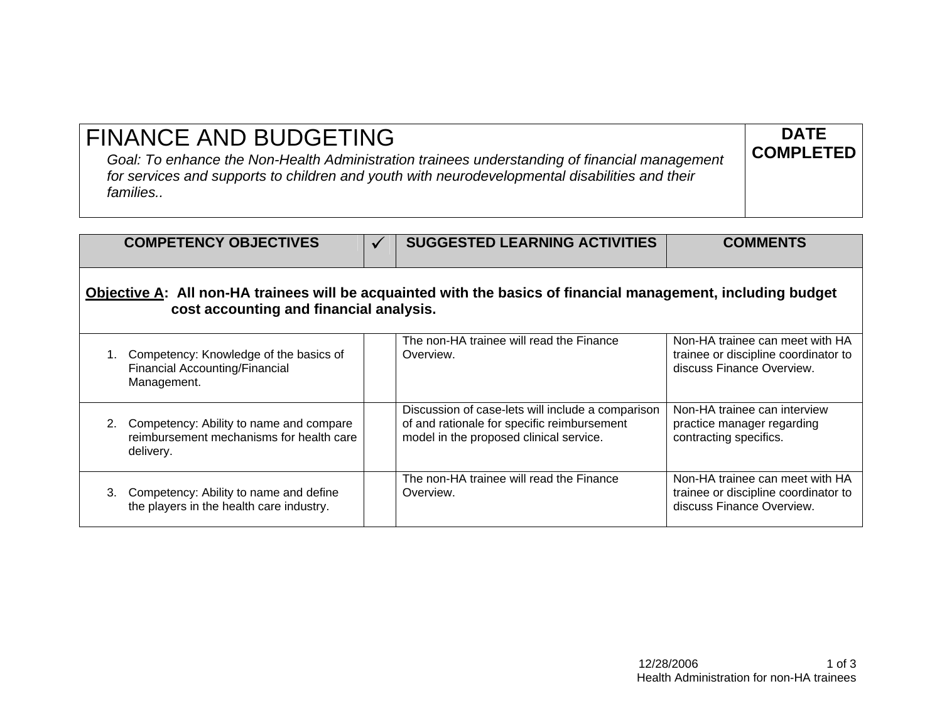| <b>FINANCE AND BUDGETING</b><br>Goal: To enhance the Non-Health Administration trainees understanding of financial management<br>for services and supports to children and youth with neurodevelopmental disabilities and their<br>families | <b>DATE</b><br><b>COMPLETED</b> |
|---------------------------------------------------------------------------------------------------------------------------------------------------------------------------------------------------------------------------------------------|---------------------------------|
|---------------------------------------------------------------------------------------------------------------------------------------------------------------------------------------------------------------------------------------------|---------------------------------|

| <b>COMPETENCY OBJECTIVES</b>                                                                                                                             |  | <b>SUGGESTED LEARNING ACTIVITIES</b>                                                             | <b>COMMENTS</b>                                                                                      |
|----------------------------------------------------------------------------------------------------------------------------------------------------------|--|--------------------------------------------------------------------------------------------------|------------------------------------------------------------------------------------------------------|
| Objective A: All non-HA trainees will be acquainted with the basics of financial management, including budget<br>cost accounting and financial analysis. |  |                                                                                                  |                                                                                                      |
| Competency: Knowledge of the basics of<br>Financial Accounting/Financial<br>Management.                                                                  |  | The non-HA trainee will read the Finance<br>Overview.                                            | Non-HA trainee can meet with HA<br>trainee or discipline coordinator to<br>discuss Finance Overview. |
| 2 Competency: Ability to name and compare                                                                                                                |  | Discussion of case-lets will include a comparison<br>of and rationale for specific reimburgement | Non-HA trainee can interview<br>practice manager regarding                                           |

| 2. Competency: Ability to name and compare<br>reimbursement mechanisms for health care  <br>delivery. | Discussion of case-lets will include a comparison<br>of and rationale for specific reimbursement<br>model in the proposed clinical service. | Non-HA trainee can interview<br>practice manager regarding<br>contracting specifics.                 |
|-------------------------------------------------------------------------------------------------------|---------------------------------------------------------------------------------------------------------------------------------------------|------------------------------------------------------------------------------------------------------|
| 3. Competency: Ability to name and define<br>the players in the health care industry.                 | The non-HA trainee will read the Finance<br>Overview.                                                                                       | Non-HA trainee can meet with HA<br>trainee or discipline coordinator to<br>discuss Finance Overview. |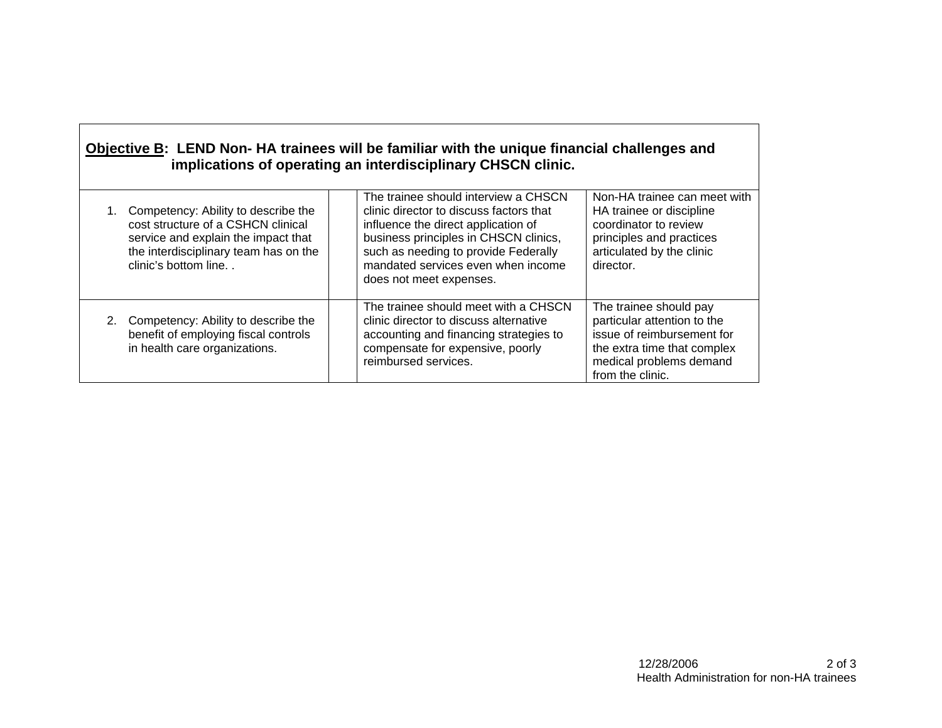| Objective B: LEND Non-HA trainees will be familiar with the unique financial challenges and |
|---------------------------------------------------------------------------------------------|
| implications of operating an interdisciplinary CHSCN clinic.                                |

| Competency: Ability to describe the<br>cost structure of a CSHCN clinical<br>service and explain the impact that<br>the interdisciplinary team has on the<br>clinic's bottom line | The trainee should interview a CHSCN<br>clinic director to discuss factors that<br>influence the direct application of<br>business principles in CHSCN clinics,<br>such as needing to provide Federally<br>mandated services even when income<br>does not meet expenses. | Non-HA trainee can meet with<br>HA trainee or discipline<br>coordinator to review<br>principles and practices<br>articulated by the clinic<br>director.           |
|-----------------------------------------------------------------------------------------------------------------------------------------------------------------------------------|--------------------------------------------------------------------------------------------------------------------------------------------------------------------------------------------------------------------------------------------------------------------------|-------------------------------------------------------------------------------------------------------------------------------------------------------------------|
| Competency: Ability to describe the<br>benefit of employing fiscal controls<br>in health care organizations.                                                                      | The trainee should meet with a CHSCN<br>clinic director to discuss alternative<br>accounting and financing strategies to<br>compensate for expensive, poorly<br>reimbursed services.                                                                                     | The trainee should pay<br>particular attention to the<br>issue of reimbursement for<br>the extra time that complex<br>medical problems demand<br>from the clinic. |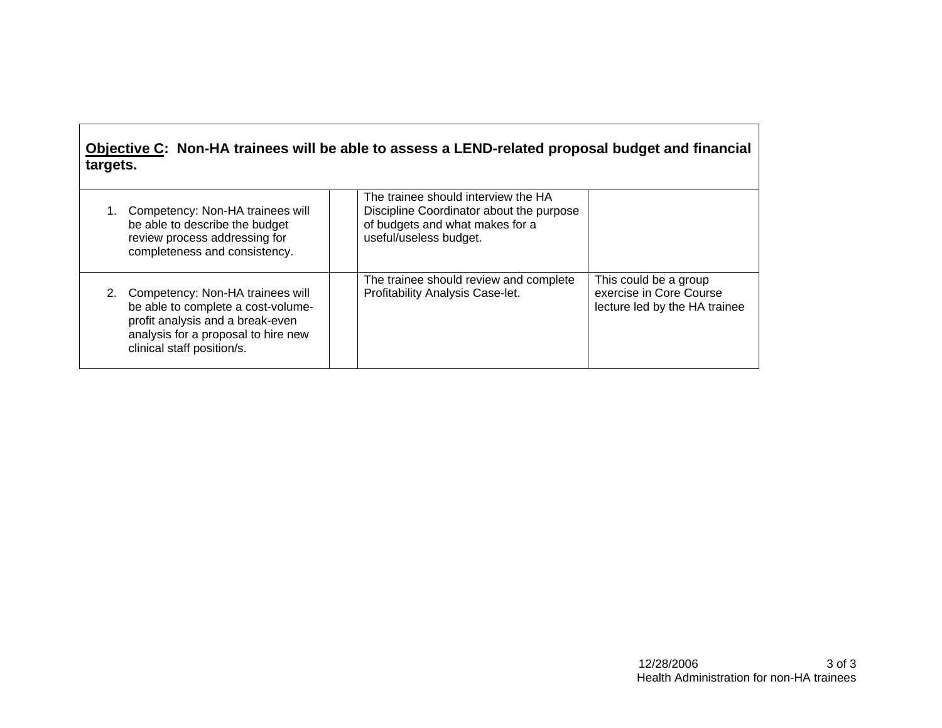# **Objective C: Non-HA trainees will be able to assess a LEND-related proposal budget and financial targets.**

| Competency: Non-HA trainees will<br>be able to describe the budget<br>review process addressing for<br>completeness and consistency.                                               | The trainee should interview the HA<br>Discipline Coordinator about the purpose<br>of budgets and what makes for a<br>useful/useless budget. |                                                                                   |
|------------------------------------------------------------------------------------------------------------------------------------------------------------------------------------|----------------------------------------------------------------------------------------------------------------------------------------------|-----------------------------------------------------------------------------------|
| 2. Competency: Non-HA trainees will<br>be able to complete a cost-volume-<br>profit analysis and a break-even<br>analysis for a proposal to hire new<br>clinical staff position/s. | The trainee should review and complete<br>Profitability Analysis Case-let.                                                                   | This could be a group<br>exercise in Core Course<br>lecture led by the HA trainee |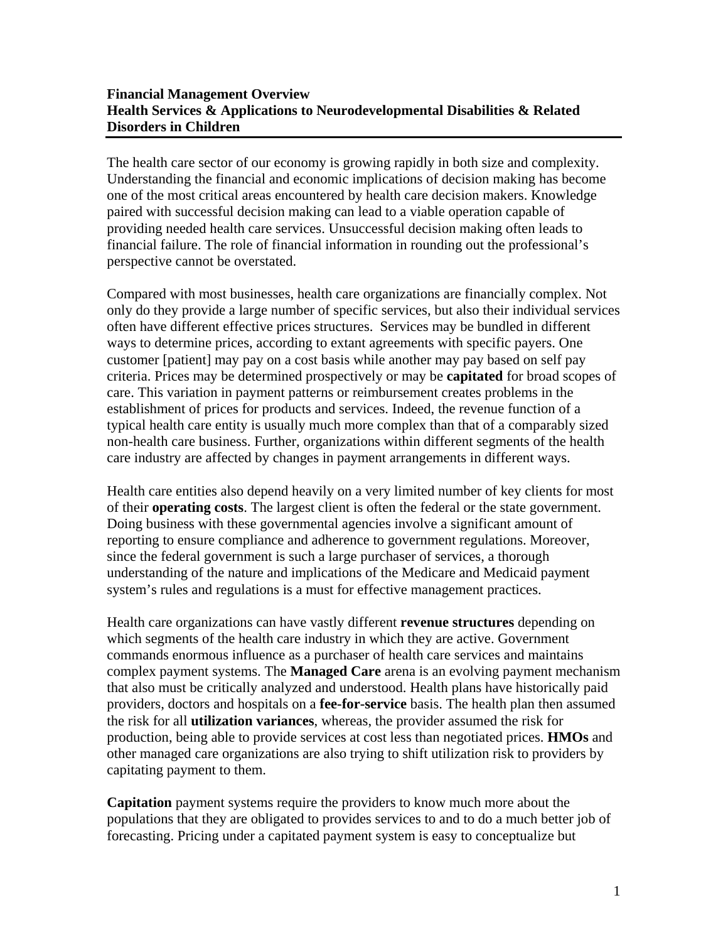## **Financial Management Overview Health Services & Applications to Neurodevelopmental Disabilities & Related Disorders in Children**

The health care sector of our economy is growing rapidly in both size and complexity. Understanding the financial and economic implications of decision making has become one of the most critical areas encountered by health care decision makers. Knowledge paired with successful decision making can lead to a viable operation capable of providing needed health care services. Unsuccessful decision making often leads to financial failure. The role of financial information in rounding out the professional's perspective cannot be overstated.

Compared with most businesses, health care organizations are financially complex. Not only do they provide a large number of specific services, but also their individual services often have different effective prices structures. Services may be bundled in different ways to determine prices, according to extant agreements with specific payers. One customer [patient] may pay on a cost basis while another may pay based on self pay criteria. Prices may be determined prospectively or may be **capitated** for broad scopes of care. This variation in payment patterns or reimbursement creates problems in the establishment of prices for products and services. Indeed, the revenue function of a typical health care entity is usually much more complex than that of a comparably sized non-health care business. Further, organizations within different segments of the health care industry are affected by changes in payment arrangements in different ways.

Health care entities also depend heavily on a very limited number of key clients for most of their **operating costs**. The largest client is often the federal or the state government. Doing business with these governmental agencies involve a significant amount of reporting to ensure compliance and adherence to government regulations. Moreover, since the federal government is such a large purchaser of services, a thorough understanding of the nature and implications of the Medicare and Medicaid payment system's rules and regulations is a must for effective management practices.

Health care organizations can have vastly different **revenue structures** depending on which segments of the health care industry in which they are active. Government commands enormous influence as a purchaser of health care services and maintains complex payment systems. The **Managed Care** arena is an evolving payment mechanism that also must be critically analyzed and understood. Health plans have historically paid providers, doctors and hospitals on a **fee-for-service** basis. The health plan then assumed the risk for all **utilization variances**, whereas, the provider assumed the risk for production, being able to provide services at cost less than negotiated prices. **HMOs** and other managed care organizations are also trying to shift utilization risk to providers by capitating payment to them.

**Capitation** payment systems require the providers to know much more about the populations that they are obligated to provides services to and to do a much better job of forecasting. Pricing under a capitated payment system is easy to conceptualize but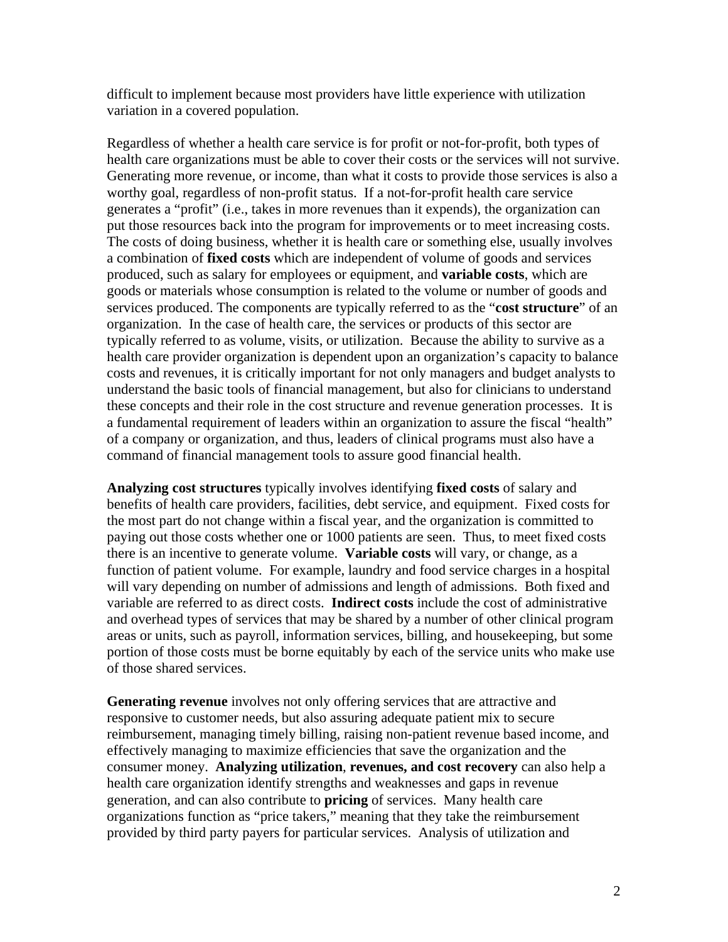difficult to implement because most providers have little experience with utilization variation in a covered population.

Regardless of whether a health care service is for profit or not-for-profit, both types of health care organizations must be able to cover their costs or the services will not survive. Generating more revenue, or income, than what it costs to provide those services is also a worthy goal, regardless of non-profit status. If a not-for-profit health care service generates a "profit" (i.e., takes in more revenues than it expends), the organization can put those resources back into the program for improvements or to meet increasing costs. The costs of doing business, whether it is health care or something else, usually involves a combination of **fixed costs** which are independent of volume of goods and services produced, such as salary for employees or equipment, and **variable costs**, which are goods or materials whose consumption is related to the volume or number of goods and services produced. The components are typically referred to as the "**cost structure**" of an organization. In the case of health care, the services or products of this sector are typically referred to as volume, visits, or utilization. Because the ability to survive as a health care provider organization is dependent upon an organization's capacity to balance costs and revenues, it is critically important for not only managers and budget analysts to understand the basic tools of financial management, but also for clinicians to understand these concepts and their role in the cost structure and revenue generation processes. It is a fundamental requirement of leaders within an organization to assure the fiscal "health" of a company or organization, and thus, leaders of clinical programs must also have a command of financial management tools to assure good financial health.

**Analyzing cost structures** typically involves identifying **fixed costs** of salary and benefits of health care providers, facilities, debt service, and equipment. Fixed costs for the most part do not change within a fiscal year, and the organization is committed to paying out those costs whether one or 1000 patients are seen. Thus, to meet fixed costs there is an incentive to generate volume. **Variable costs** will vary, or change, as a function of patient volume. For example, laundry and food service charges in a hospital will vary depending on number of admissions and length of admissions. Both fixed and variable are referred to as direct costs. **Indirect costs** include the cost of administrative and overhead types of services that may be shared by a number of other clinical program areas or units, such as payroll, information services, billing, and housekeeping, but some portion of those costs must be borne equitably by each of the service units who make use of those shared services.

**Generating revenue** involves not only offering services that are attractive and responsive to customer needs, but also assuring adequate patient mix to secure reimbursement, managing timely billing, raising non-patient revenue based income, and effectively managing to maximize efficiencies that save the organization and the consumer money. **Analyzing utilization**, **revenues, and cost recovery** can also help a health care organization identify strengths and weaknesses and gaps in revenue generation, and can also contribute to **pricing** of services. Many health care organizations function as "price takers," meaning that they take the reimbursement provided by third party payers for particular services. Analysis of utilization and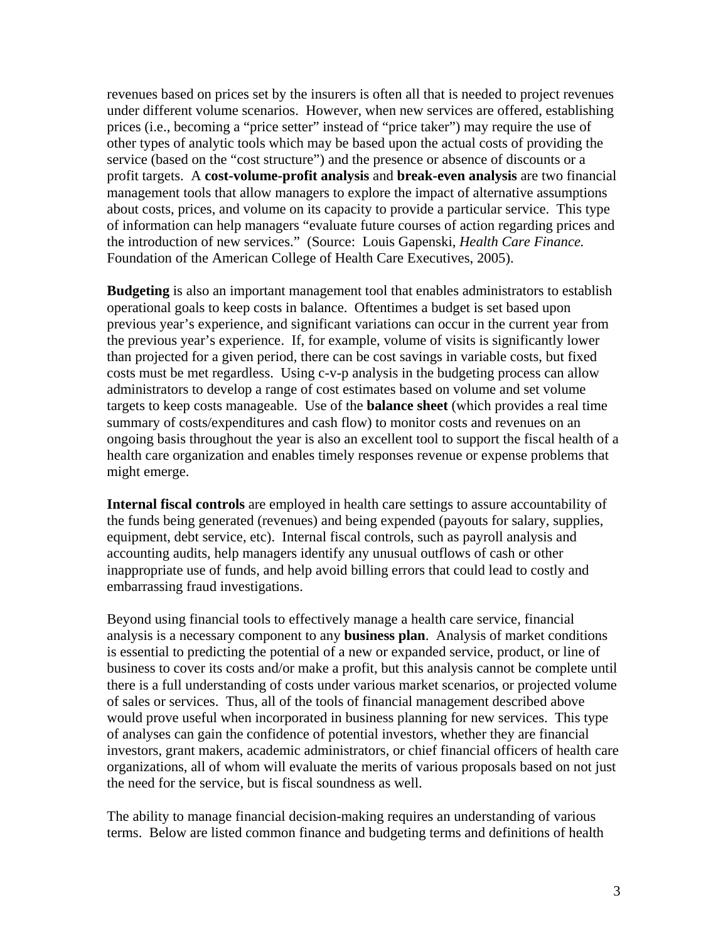revenues based on prices set by the insurers is often all that is needed to project revenues under different volume scenarios. However, when new services are offered, establishing prices (i.e., becoming a "price setter" instead of "price taker") may require the use of other types of analytic tools which may be based upon the actual costs of providing the service (based on the "cost structure") and the presence or absence of discounts or a profit targets. A **cost-volume-profit analysis** and **break-even analysis** are two financial management tools that allow managers to explore the impact of alternative assumptions about costs, prices, and volume on its capacity to provide a particular service. This type of information can help managers "evaluate future courses of action regarding prices and the introduction of new services." (Source: Louis Gapenski, *Health Care Finance.*  Foundation of the American College of Health Care Executives, 2005).

**Budgeting** is also an important management tool that enables administrators to establish operational goals to keep costs in balance. Oftentimes a budget is set based upon previous year's experience, and significant variations can occur in the current year from the previous year's experience. If, for example, volume of visits is significantly lower than projected for a given period, there can be cost savings in variable costs, but fixed costs must be met regardless. Using c-v-p analysis in the budgeting process can allow administrators to develop a range of cost estimates based on volume and set volume targets to keep costs manageable. Use of the **balance sheet** (which provides a real time summary of costs/expenditures and cash flow) to monitor costs and revenues on an ongoing basis throughout the year is also an excellent tool to support the fiscal health of a health care organization and enables timely responses revenue or expense problems that might emerge.

**Internal fiscal controls** are employed in health care settings to assure accountability of the funds being generated (revenues) and being expended (payouts for salary, supplies, equipment, debt service, etc). Internal fiscal controls, such as payroll analysis and accounting audits, help managers identify any unusual outflows of cash or other inappropriate use of funds, and help avoid billing errors that could lead to costly and embarrassing fraud investigations.

Beyond using financial tools to effectively manage a health care service, financial analysis is a necessary component to any **business plan**. Analysis of market conditions is essential to predicting the potential of a new or expanded service, product, or line of business to cover its costs and/or make a profit, but this analysis cannot be complete until there is a full understanding of costs under various market scenarios, or projected volume of sales or services. Thus, all of the tools of financial management described above would prove useful when incorporated in business planning for new services. This type of analyses can gain the confidence of potential investors, whether they are financial investors, grant makers, academic administrators, or chief financial officers of health care organizations, all of whom will evaluate the merits of various proposals based on not just the need for the service, but is fiscal soundness as well.

The ability to manage financial decision-making requires an understanding of various terms. Below are listed common finance and budgeting terms and definitions of health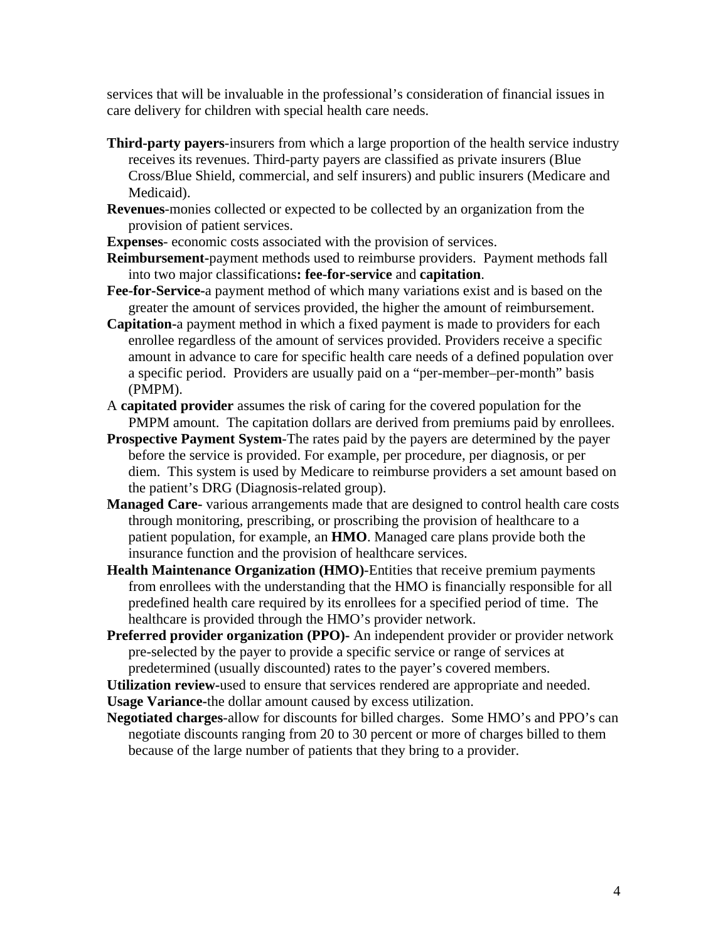services that will be invaluable in the professional's consideration of financial issues in care delivery for children with special health care needs.

- **Third-party payers**-insurers from which a large proportion of the health service industry receives its revenues. Third-party payers are classified as private insurers (Blue Cross/Blue Shield, commercial, and self insurers) and public insurers (Medicare and Medicaid).
- **Revenues**-monies collected or expected to be collected by an organization from the provision of patient services.

**Expenses**- economic costs associated with the provision of services.

- **Reimbursement-**payment methods used to reimburse providers. Payment methods fall into two major classifications**: fee-for-service** and **capitation**.
- **Fee-for-Service-**a payment method of which many variations exist and is based on the greater the amount of services provided, the higher the amount of reimbursement.
- **Capitation-**a payment method in which a fixed payment is made to providers for each enrollee regardless of the amount of services provided. Providers receive a specific amount in advance to care for specific health care needs of a defined population over a specific period. Providers are usually paid on a "per-member–per-month" basis (PMPM).
- A **capitated provider** assumes the risk of caring for the covered population for the PMPM amount. The capitation dollars are derived from premiums paid by enrollees.
- **Prospective Payment System**-The rates paid by the payers are determined by the payer before the service is provided. For example, per procedure, per diagnosis, or per diem. This system is used by Medicare to reimburse providers a set amount based on the patient's DRG (Diagnosis-related group).
- **Managed Care-** various arrangements made that are designed to control health care costs through monitoring, prescribing, or proscribing the provision of healthcare to a patient population, for example, an **HMO**. Managed care plans provide both the insurance function and the provision of healthcare services.
- **Health Maintenance Organization (HMO)**-Entities that receive premium payments from enrollees with the understanding that the HMO is financially responsible for all predefined health care required by its enrollees for a specified period of time. The healthcare is provided through the HMO's provider network.
- **Preferred provider organization (PPO)-** An independent provider or provider network pre-selected by the payer to provide a specific service or range of services at predetermined (usually discounted) rates to the payer's covered members.

**Utilization review-**used to ensure that services rendered are appropriate and needed. **Usage Variance-**the dollar amount caused by excess utilization.

**Negotiated charges**-allow for discounts for billed charges. Some HMO's and PPO's can negotiate discounts ranging from 20 to 30 percent or more of charges billed to them because of the large number of patients that they bring to a provider.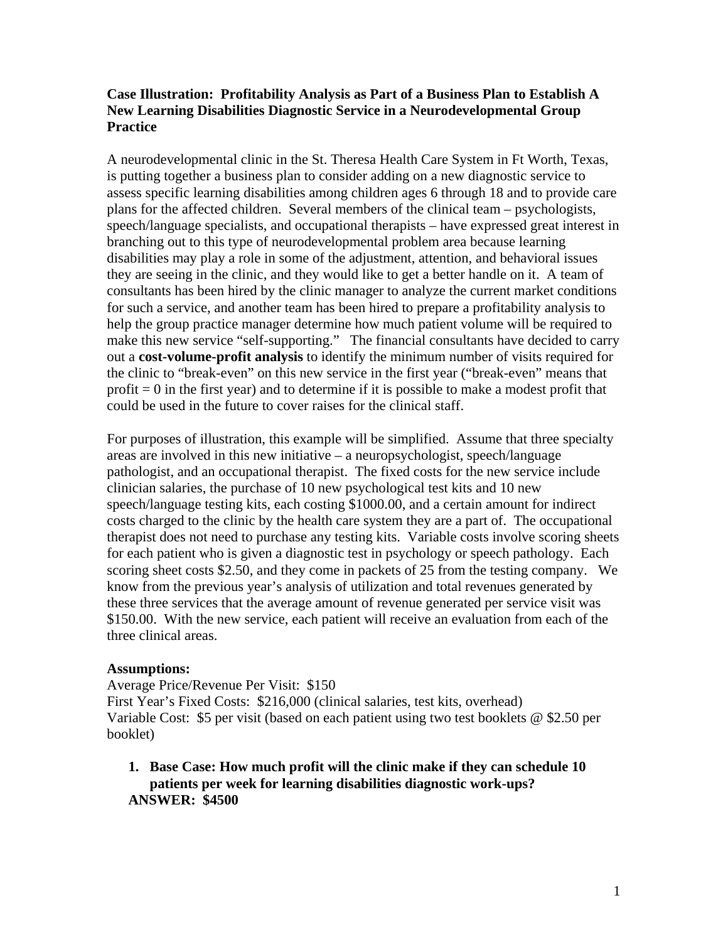## **Case Illustration: Profitability Analysis as Part of a Business Plan to Establish A New Learning Disabilities Diagnostic Service in a Neurodevelopmental Group Practice**

A neurodevelopmental clinic in the St. Theresa Health Care System in Ft Worth, Texas, is putting together a business plan to consider adding on a new diagnostic service to assess specific learning disabilities among children ages 6 through 18 and to provide care plans for the affected children. Several members of the clinical team – psychologists, speech/language specialists, and occupational therapists – have expressed great interest in branching out to this type of neurodevelopmental problem area because learning disabilities may play a role in some of the adjustment, attention, and behavioral issues they are seeing in the clinic, and they would like to get a better handle on it. A team of consultants has been hired by the clinic manager to analyze the current market conditions for such a service, and another team has been hired to prepare a profitability analysis to help the group practice manager determine how much patient volume will be required to make this new service "self-supporting." The financial consultants have decided to carry out a **cost-volume-profit analysis** to identify the minimum number of visits required for the clinic to "break-even" on this new service in the first year ("break-even" means that profit  $= 0$  in the first year) and to determine if it is possible to make a modest profit that could be used in the future to cover raises for the clinical staff.

For purposes of illustration, this example will be simplified. Assume that three specialty areas are involved in this new initiative – a neuropsychologist, speech/language pathologist, and an occupational therapist. The fixed costs for the new service include clinician salaries, the purchase of 10 new psychological test kits and 10 new speech/language testing kits, each costing \$1000.00, and a certain amount for indirect costs charged to the clinic by the health care system they are a part of. The occupational therapist does not need to purchase any testing kits. Variable costs involve scoring sheets for each patient who is given a diagnostic test in psychology or speech pathology. Each scoring sheet costs \$2.50, and they come in packets of 25 from the testing company. We know from the previous year's analysis of utilization and total revenues generated by these three services that the average amount of revenue generated per service visit was \$150.00. With the new service, each patient will receive an evaluation from each of the three clinical areas.

### **Assumptions:**

Average Price/Revenue Per Visit: \$150 First Year's Fixed Costs: \$216,000 (clinical salaries, test kits, overhead) Variable Cost: \$5 per visit (based on each patient using two test booklets @ \$2.50 per booklet)

**1. Base Case: How much profit will the clinic make if they can schedule 10 patients per week for learning disabilities diagnostic work-ups? ANSWER: \$4500**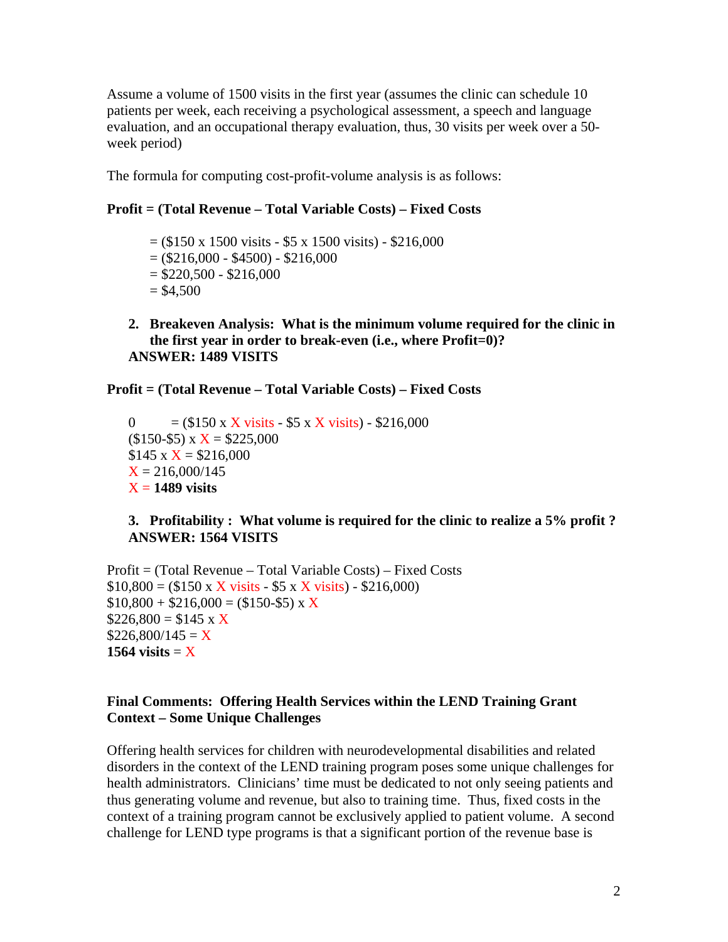Assume a volume of 1500 visits in the first year (assumes the clinic can schedule 10 patients per week, each receiving a psychological assessment, a speech and language evaluation, and an occupational therapy evaluation, thus, 30 visits per week over a 50 week period)

The formula for computing cost-profit-volume analysis is as follows:

### **Profit = (Total Revenue – Total Variable Costs) – Fixed Costs**

 $=$  (\$150 x 1500 visits - \$5 x 1500 visits) - \$216,000  $= (\$216,000 - \$4500) - \$216,000$  $= $220,500 - $216,000$  $= $4,500$ 

**2. Breakeven Analysis: What is the minimum volume required for the clinic in the first year in order to break-even (i.e., where Profit=0)? ANSWER: 1489 VISITS** 

**Profit = (Total Revenue – Total Variable Costs) – Fixed Costs** 

0 =  $($150 \times X \text{ visits} - $5 \times X \text{ visits}) - $216,000$  $($150-$5) \times X = $225,000$  $$145 \times X = $216,000$  $X = 216,000/145$  $X = 1489$  visits

**3. Profitability : What volume is required for the clinic to realize a 5% profit ? ANSWER: 1564 VISITS** 

Profit = (Total Revenue – Total Variable Costs) – Fixed Costs  $$10,800 = ($150 \times X \text{ visits} - $5 \times X \text{ visits}) - $216,000}$  $$10,800 + $216,000 = ($150-$5) \times X$  $$226,800 = $145 \times X$  $$226,800/145 = X$ 1564 visits  $= X$ 

### **Final Comments: Offering Health Services within the LEND Training Grant Context – Some Unique Challenges**

Offering health services for children with neurodevelopmental disabilities and related disorders in the context of the LEND training program poses some unique challenges for health administrators. Clinicians' time must be dedicated to not only seeing patients and thus generating volume and revenue, but also to training time. Thus, fixed costs in the context of a training program cannot be exclusively applied to patient volume. A second challenge for LEND type programs is that a significant portion of the revenue base is